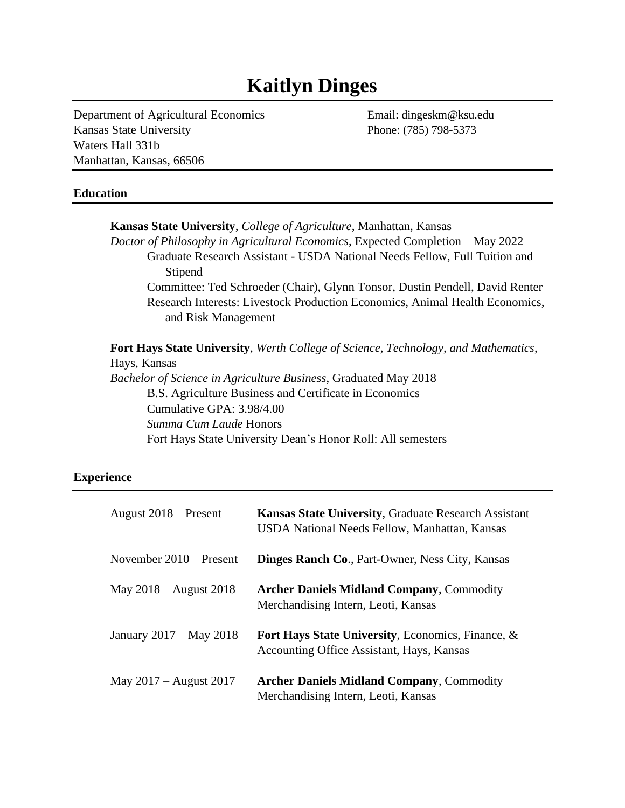# **Kaitlyn Dinges**

Department of Agricultural Economics Email: dingeskm@ksu.edu Kansas State University Phone: (785) 798-5373 Waters Hall 331b Manhattan, Kansas, 66506

## **Education**

**Kansas State University**, *College of Agriculture*, Manhattan, Kansas *Doctor of Philosophy in Agricultural Economics*, Expected Completion – May 2022 Graduate Research Assistant - USDA National Needs Fellow, Full Tuition and Stipend Committee: Ted Schroeder (Chair), Glynn Tonsor, Dustin Pendell, David Renter Research Interests: Livestock Production Economics, Animal Health Economics, and Risk Management **Fort Hays State University**, *Werth College of Science, Technology, and Mathematics*, Hays, Kansas *Bachelor of Science in Agriculture Business*, Graduated May 2018 B.S. Agriculture Business and Certificate in Economics Cumulative GPA: 3.98/4.00 *Summa Cum Laude* Honors

# Fort Hays State University Dean's Honor Roll: All semesters

## **Experience**

| August $2018$ – Present   | <b>Kansas State University, Graduate Research Assistant</b> –<br>USDA National Needs Fellow, Manhattan, Kansas |
|---------------------------|----------------------------------------------------------------------------------------------------------------|
| November $2010$ – Present | <b>Dinges Ranch Co., Part-Owner, Ness City, Kansas</b>                                                         |
| May 2018 – August 2018    | <b>Archer Daniels Midland Company, Commodity</b><br>Merchandising Intern, Leoti, Kansas                        |
| January 2017 – May 2018   | Fort Hays State University, Economics, Finance, &<br><b>Accounting Office Assistant, Hays, Kansas</b>          |
| May $2017 -$ August 2017  | <b>Archer Daniels Midland Company, Commodity</b><br>Merchandising Intern, Leoti, Kansas                        |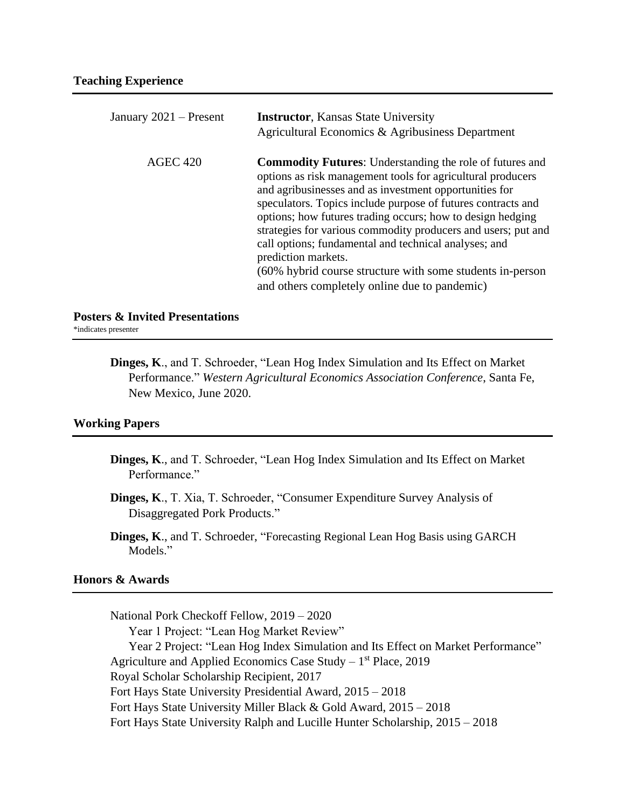| January 2021 – Present | <b>Instructor, Kansas State University</b><br>Agricultural Economics & Agribusiness Department                                                                                                                                                                                                                                                                                                                                                                                                                                                                                        |
|------------------------|---------------------------------------------------------------------------------------------------------------------------------------------------------------------------------------------------------------------------------------------------------------------------------------------------------------------------------------------------------------------------------------------------------------------------------------------------------------------------------------------------------------------------------------------------------------------------------------|
| <b>AGEC 420</b>        | <b>Commodity Futures:</b> Understanding the role of futures and<br>options as risk management tools for agricultural producers<br>and agribusinesses and as investment opportunities for<br>speculators. Topics include purpose of futures contracts and<br>options; how futures trading occurs; how to design hedging<br>strategies for various commodity producers and users; put and<br>call options; fundamental and technical analyses; and<br>prediction markets.<br>(60% hybrid course structure with some students in-person<br>and others completely online due to pandemic) |

**Posters & Invited Presentations**

\*indicates presenter

**Dinges, K**., and T. Schroeder, "Lean Hog Index Simulation and Its Effect on Market Performance." *Western Agricultural Economics Association Conference*, Santa Fe, New Mexico, June 2020.

#### **Working Papers**

- **Dinges, K**., and T. Schroeder, "Lean Hog Index Simulation and Its Effect on Market Performance."
- **Dinges, K**., T. Xia, T. Schroeder, "Consumer Expenditure Survey Analysis of Disaggregated Pork Products."
- **Dinges, K**., and T. Schroeder, "Forecasting Regional Lean Hog Basis using GARCH Models."

# **Honors & Awards**

National Pork Checkoff Fellow, 2019 – 2020 Year 1 Project: "Lean Hog Market Review" Year 2 Project: "Lean Hog Index Simulation and Its Effect on Market Performance" Agriculture and Applied Economics Case Study - 1<sup>st</sup> Place, 2019 Royal Scholar Scholarship Recipient, 2017 Fort Hays State University Presidential Award, 2015 – 2018 Fort Hays State University Miller Black & Gold Award, 2015 – 2018 Fort Hays State University Ralph and Lucille Hunter Scholarship, 2015 – 2018